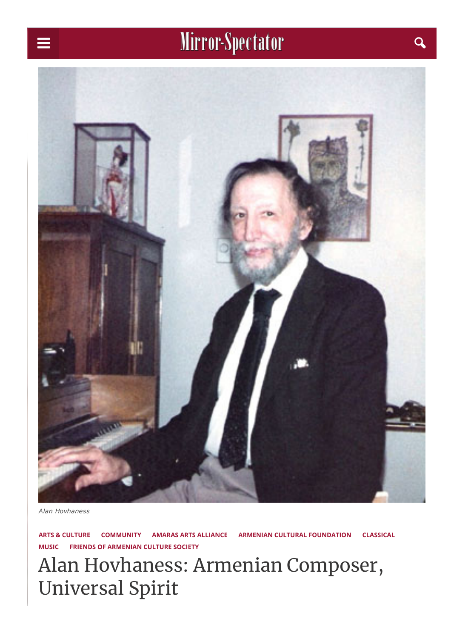# Mirror-Spectator and a

<span id="page-0-0"></span>

*Alan Hovhaness*

ARTS & [CULTURE](https://mirrorspectator.com/category/arts-culture/) [COMMUNITY](https://mirrorspectator.com/category/community-news/) AMARAS ARTS [ALLIANCE](https://mirrorspectator.com/tag/amaras-arts-alliance/) ARMENIAN CULTURAL [FOUNDATION](https://mirrorspectator.com/tag/armenian-cultural-foundation/) [CLASSICAL](https://mirrorspectator.com/tag/classical-music/) [MUSIC](https://mirrorspectator.com/tag/classical-music/) FRIENDS OF [ARMENIAN](https://mirrorspectator.com/tag/friends-of-armenian-culture-society/) CULTURE SOCIETY

Alan Hovhaness: Armenian Composer, Universal Spirit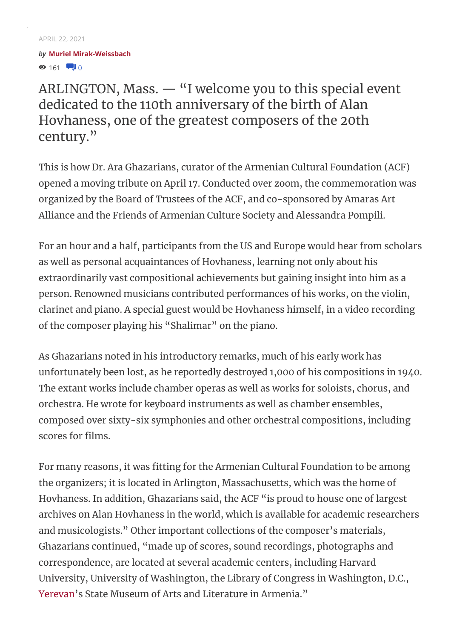### $\odot$  161  $\ddot{1}$  0 *by* Muriel [Mirak-Weissbach](https://mirrorspectator.com/author/muriel-mirak-weissbach/)

ARLINGTON, Mass. — "I welcome you to this special event dedicated to the 110th anniversary of the birth of Alan Hovhaness, one of the greatest composers of the 20th century."

This is how Dr. Ara Ghazarians, curator of the Armenian Cultural Foundation (ACF) opened a moving tribute on April 17. Conducted over zoom, the commemoration was organized by the Board of Trustees of the ACF, and co-sponsored by Amaras Art Alliance and the Friends of Armenian Culture Society and Alessandra Pompili.

For an hour and a half, participants from the US and Europe would hear from scholars as well as personal acquaintances of Hovhaness, learning not only about his extraordinarily vast compositional achievements but gaining insight into him as a person. Renowned musicians contributed performances of his works, on the violin, clarinet and piano. A special guest would be Hovhaness himself, in a video recording of the composer playing his "Shalimar" on the piano.

As Ghazarians noted in his introductory remarks, much of his early work has unfortunately been lost, as he reportedly destroyed 1,000 of his compositions in 1940. The extant works include chamber operas as well as works for soloists, chorus, and orchestra. He wrote for keyboard instruments as well as chamber ensembles, composed over sixty-six symphonies and other orchestral compositions, including scores for films.

For many reasons, it was fitting for the Armenian Cultural Foundation to be among the organizers; it is located in Arlington, Massachusetts, which was the home of Hovhaness. In addition, Ghazarians said, the ACF "is proud to house one of largest archives on Alan Hovhaness in the world, which is available for academic researchers and musicologists." Other important collections of the composer's materials, Ghazarians continued, "made up of scores, sound recordings, photographs and correspondence, are located at several academic centers, including Harvard University, University of Washington, the Library of Congress in Washington, D.C., [Yerevan'](https://en.wikipedia.org/wiki/Yerevan)s State Museum of Arts and Literature in Armenia."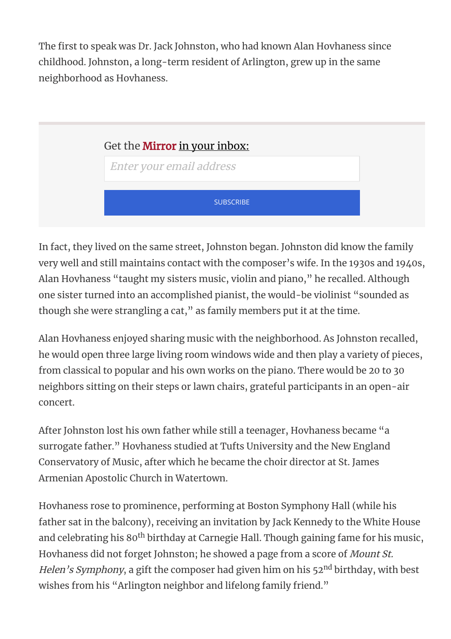The first to speak was Dr. Jack Johnston, who had known Alan Hovhaness since childhood. Johnston, a long-term resident of Arlington, grew up in the same neighborhood as Hovhaness.



In fact, they lived on the same street, Johnston began. Johnston did know the family very well and still maintains contact with the composer's wife. In the 1930s and 1940s, Alan Hovhaness "taught my sisters music, violin and piano," he recalled. Although one sister turned into an accomplished pianist, the would-be violinist "sounded as though she were strangling a cat," as family members put it at the time.

Alan Hovhaness enjoyed sharing music with the neighborhood. As Johnston recalled, he would open three large living room windows wide and then play a variety of pieces, from classical to popular and his own works on the piano. There would be 20 to 30 neighbors sitting on their steps or lawn chairs, grateful participants in an open-air concert.

After Johnston lost his own father while still a teenager, Hovhaness became "a surrogate father." Hovhaness studied at Tufts University and the New England Conservatory of Music, after which he became the choir director at St. James Armenian Apostolic Church in Watertown.

Hovhaness rose to prominence, performing at Boston Symphony Hall (while his father sat in the balcony), receiving an invitation by Jack Kennedy to the White House and celebrating his 80<sup>th</sup> birthday at Carnegie Hall. Though gaining fame for his music, Hovhaness did not forget Johnston; he showed a page from a score of Mount St. Helen's Symphony, a gift the composer had given him on his 52<sup>nd</sup> birthday, with best wishes from his "Arlington neighbor and lifelong family friend."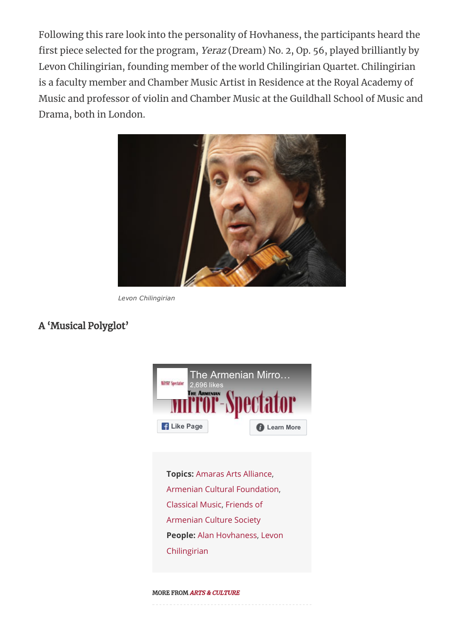Following this rare look into the personality of Hovhaness, the participants heard the first piece selected for the program, Yeraz (Dream) No. 2, Op. 56, played brilliantly by Levon Chilingirian, founding member of the world Chilingirian Quartet. Chilingirian is a faculty member and Chamber Music Artist in Residence at the Royal Academy of Music and professor of violin and Chamber Music at the Guildhall School of Music and Drama, both in London.



*Levon Chilingirian*

## A 'Musical Polyglot'



Topics: Amaras Arts [Alliance,](https://mirrorspectator.com/tag/amaras-arts-alliance/) Armenian Cultural [Foundation,](https://mirrorspectator.com/tag/armenian-cultural-foundation/) [Classical](https://mirrorspectator.com/tag/classical-music/) Music, [Friends](https://mirrorspectator.com/tag/friends-of-armenian-culture-society/) of [Armenian](https://mirrorspectator.com/tag/friends-of-armenian-culture-society/) Culture Society People: Alan [Hovhaness](https://mirrorspectator.com/people/alan-hovhaness/), [Levon](https://mirrorspectator.com/people/levon-chilingirian/) [Chilingirian](https://mirrorspectator.com/people/levon-chilingirian/)

#### MORE FROM ARTS & CULTURE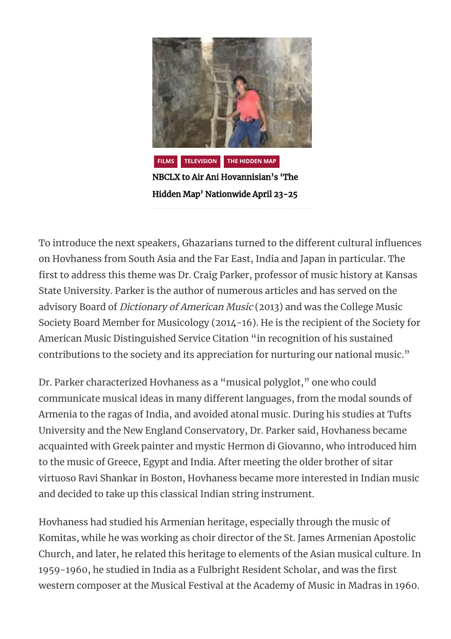

[Hidden Map' Nationwide April 23-25](https://mirrorspectator.com/2021/04/22/nbclx-to-air-ani-hovannisians-the-hidden-map-nationwide-april-23-25/)

To introduce the next speakers, Ghazarians turned to the different cultural influences on Hovhaness from South Asia and the Far East, India and Japan in particular. The first to address this theme was Dr. Craig Parker, professor of music history at Kansas State University. Parker is the author of numerous articles and has served on the advisory Board of Dictionary of American Music (2013) and was the College Music Society Board Member for Musicology (2014-16). He is the recipient of the Society for American Music Distinguished Service Citation "in recognition of his sustained contributions to the society and its appreciation for nurturing our national music."

Dr. Parker characterized Hovhaness as a "musical polyglot," one who could communicate musical ideas in many different languages, from the modal sounds of Armenia to the ragas of India, and avoided atonal music. During his studies at Tufts University and the New England Conservatory, Dr. Parker said, Hovhaness became acquainted with Greek painter and mystic Hermon di Giovanno, who introduced him to the music of Greece, Egypt and India. After meeting the older brother of sitar virtuoso Ravi Shankar in Boston, Hovhaness became more interested in Indian music and decided to take up this classical Indian string instrument.

Hovhaness had studied his Armenian heritage, especially through the music of Komitas, while he was working as choir director of the St. James Armenian Apostolic Church, and later, he related this heritage to elements of the Asian musical culture. In 1959-1960, he studied in India as a Fulbright Resident Scholar, and was the first western composer at the Musical Festival at the Academy of Music in Madras in 1960.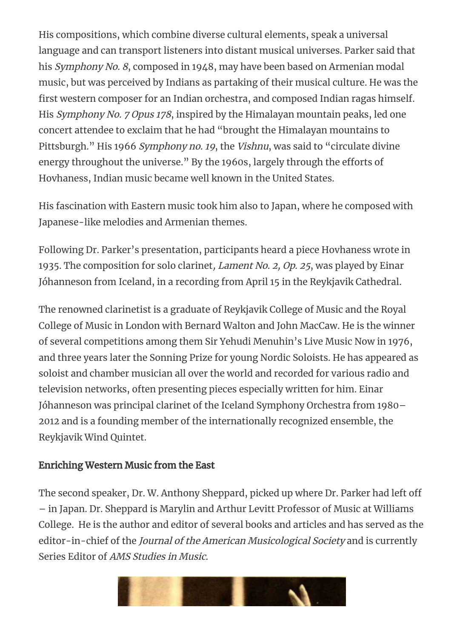His compositions, which combine diverse cultural elements, speak a universal language and can transport listeners into distant musical universes. Parker said that his Symphony No. 8, composed in 1948, may have been based on Armenian modal music, but was perceived by Indians as partaking of their musical culture. He was the first western composer for an Indian orchestra, and composed Indian ragas himself. His Symphony No. 7 Opus 178, inspired by the Himalayan mountain peaks, led one concert attendee to exclaim that he had "brought the Himalayan mountains to Pittsburgh." His 1966 Symphony no. 19, the Vishnu, was said to "circulate divine energy throughout the universe." By the 1960s, largely through the efforts of Hovhaness, Indian music became well known in the United States.

His fascination with Eastern music took him also to Japan, where he composed with Japanese-like melodies and Armenian themes.

Following Dr. Parker's presentation, participants heard a piece Hovhaness wrote in 1935. The composition for solo clarinet, *Lament No. 2, Op. 25*, was played by Einar Jóhanneson from Iceland, in a recording from April 15 in the Reykjavik Cathedral.

The renowned clarinetist is a graduate of Reykjavik College of Music and the Royal College of Music in London with Bernard Walton and John MacCaw. He is the winner of several competitions among them Sir Yehudi Menuhin's Live Music Now in 1976, and three years later the Sonning Prize for young Nordic Soloists. He has appeared as soloist and chamber musician all over the world and recorded for various radio and television networks, often presenting pieces especially written for him. Einar Jóhanneson was principal clarinet of the Iceland Symphony Orchestra from 1980– 2012 and is a founding member of the internationally recognized ensemble, the Reykjavik Wind Quintet.

# Enriching Western Music from the East

The second speaker, Dr. W. Anthony Sheppard, picked up where Dr. Parker had left off – in Japan. Dr. Sheppard is Marylin and Arthur Levitt Professor of Music at Williams College. He is the author and editor of several books and articles and has served as the editor-in-chief of the Journal of the American Musicological Society and is currently Series Editor of AMS Studies in Music.

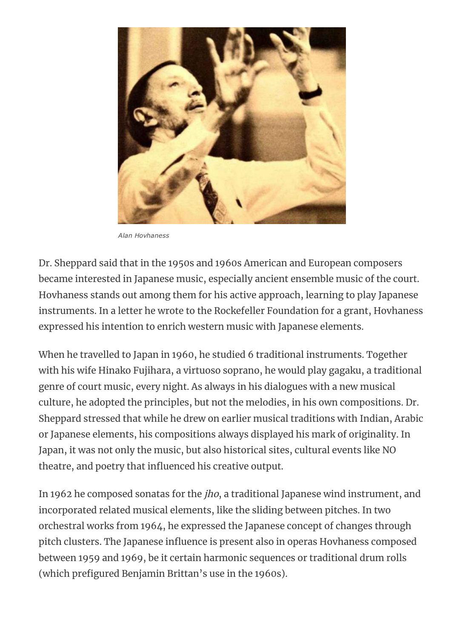

*Alan Hovhaness*

Dr. Sheppard said that in the 1950s and 1960s American and European composers became interested in Japanese music, especially ancient ensemble music of the court. Hovhaness stands out among them for his active approach, learning to play Japanese instruments. In a letter he wrote to the Rockefeller Foundation for a grant, Hovhaness expressed his intention to enrich western music with Japanese elements.

When he travelled to Japan in 1960, he studied 6 traditional instruments. Together with his wife Hinako Fujihara, a virtuoso soprano, he would play gagaku, a traditional genre of court music, every night. As always in his dialogues with a new musical culture, he adopted the principles, but not the melodies, in his own compositions. Dr. Sheppard stressed that while he drew on earlier musical traditions with Indian, Arabic or Japanese elements, his compositions always displayed his mark of originality. In Japan, it was not only the music, but also historical sites, cultural events like NO theatre, and poetry that influenced his creative output.

In 1962 he composed sonatas for the jho, a traditional Japanese wind instrument, and incorporated related musical elements, like the sliding between pitches. In two orchestral works from 1964, he expressed the Japanese concept of changes through pitch clusters. The Japanese influence is present also in operas Hovhaness composed between 1959 and 1969, be it certain harmonic sequences or traditional drum rolls (which prefigured Benjamin Brittan's use in the 1960s).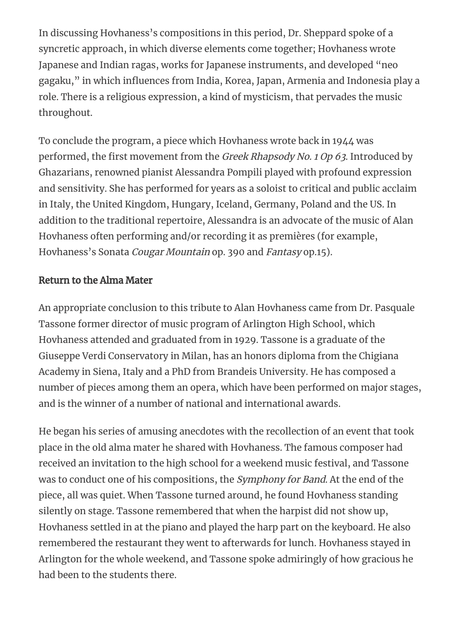In discussing Hovhaness's compositions in this period, Dr. Sheppard spoke of a syncretic approach, in which diverse elements come together; Hovhaness wrote Japanese and Indian ragas, works for Japanese instruments, and developed "neo gagaku," in which influences from India, Korea, Japan, Armenia and Indonesia play a role. There is a religious expression, a kind of mysticism, that pervades the music throughout.

To conclude the program, a piece which Hovhaness wrote back in 1944 was performed, the first movement from the Greek Rhapsody No. 1 Op 63. Introduced by Ghazarians, renowned pianist Alessandra Pompili played with profound expression and sensitivity. She has performed for years as a soloist to critical and public acclaim in Italy, the United Kingdom, Hungary, Iceland, Germany, Poland and the US. In addition to the traditional repertoire, Alessandra is an advocate of the music of Alan Hovhaness often performing and/or recording it as premières (for example, Hovhaness's Sonata Cougar Mountain op. 390 and Fantasy op.15).

## Return to the Alma Mater

An appropriate conclusion to this tribute to Alan Hovhaness came from Dr. Pasquale Tassone former director of music program of Arlington High School, which Hovhaness attended and graduated from in 1929. Tassone is a graduate of the Giuseppe Verdi Conservatory in Milan, has an honors diploma from the Chigiana Academy in Siena, Italy and a PhD from Brandeis University. He has composed a number of pieces among them an opera, which have been performed on major stages, and is the winner of a number of national and international awards.

He began his series of amusing anecdotes with the recollection of an event that took place in the old alma mater he shared with Hovhaness. The famous composer had received an invitation to the high school for a weekend music festival, and Tassone was to conduct one of his compositions, the Symphony for Band. At the end of the piece, all was quiet. When Tassone turned around, he found Hovhaness standing silently on stage. Tassone remembered that when the harpist did not show up, Hovhaness settled in at the piano and played the harp part on the keyboard. He also remembered the restaurant they went to afterwards for lunch. Hovhaness stayed in Arlington for the whole weekend, and Tassone spoke admiringly of how gracious he had been to the students there.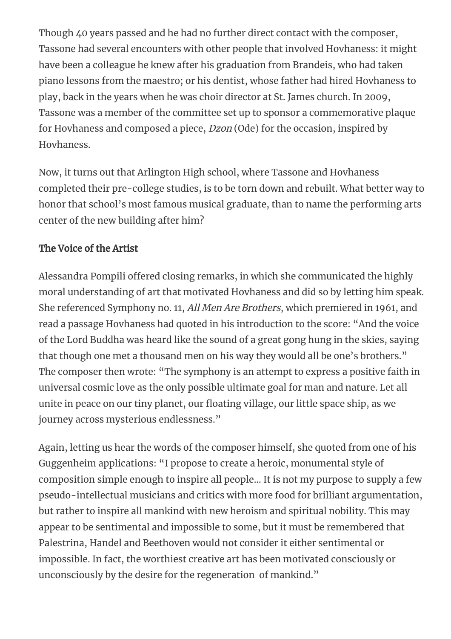Though 40 years passed and he had no further direct contact with the composer, Tassone had several encounters with other people that involved Hovhaness: it might have been a colleague he knew after his graduation from Brandeis, who had taken piano lessons from the maestro; or his dentist, whose father had hired Hovhaness to play, back in the years when he was choir director at St. James church. In 2009, Tassone was a member of the committee set up to sponsor a commemorative plaque for Hovhaness and composed a piece, Dzon (Ode) for the occasion, inspired by Hovhaness.

Now, it turns out that Arlington High school, where Tassone and Hovhaness completed their pre-college studies, is to be torn down and rebuilt. What better way to honor that school's most famous musical graduate, than to name the performing arts center of the new building after him?

# The Voice of the Artist

Alessandra Pompili offered closing remarks, in which she communicated the highly moral understanding of art that motivated Hovhaness and did so by letting him speak. She referenced Symphony no. 11, All Men Are Brothers, which premiered in 1961, and read a passage Hovhaness had quoted in his introduction to the score: "And the voice of the Lord Buddha was heard like the sound of a great gong hung in the skies, saying that though one met a thousand men on his way they would all be one's brothers." The composer then wrote: "The symphony is an attempt to express a positive faith in universal cosmic love as the only possible ultimate goal for man and nature. Let all unite in peace on our tiny planet, our floating village, our little space ship, as we journey across mysterious endlessness."

Again, letting us hear the words of the composer himself, she quoted from one of his Guggenheim applications: "I propose to create a heroic, monumental style of composition simple enough to inspire all people… It is not my purpose to supply a few pseudo-intellectual musicians and critics with more food for brilliant argumentation, but rather to inspire all mankind with new heroism and spiritual nobility. This may appear to be sentimental and impossible to some, but it must be remembered that Palestrina, Handel and Beethoven would not consider it either sentimental or impossible. In fact, the worthiest creative art has been motivated consciously or unconsciously by the desire for the regeneration of mankind."